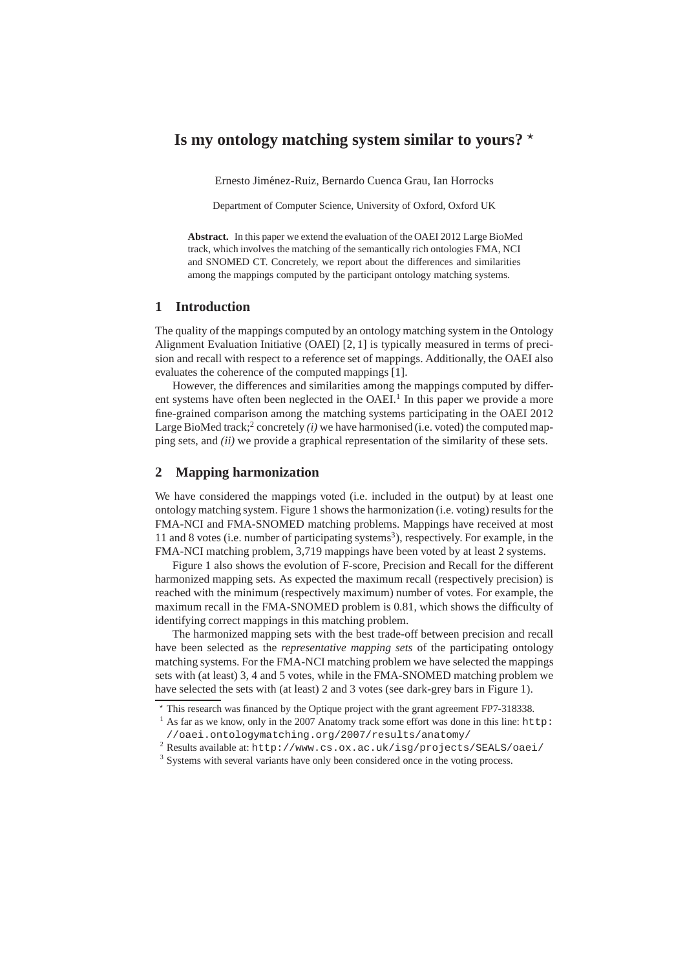# Is my ontology matching system similar to yours?  $\star$

Ernesto Jiménez-Ruiz, Bernardo Cuenca Grau, Ian Horrocks

Department of Computer Science, University of Oxford, Oxford UK

**Abstract.** In this paper we extend the evaluation of the OAEI 2012 Large BioMed track, which involves the matching of the semantically rich ontologies FMA, NCI and SNOMED CT. Concretely, we report about the differences and similarities among the mappings computed by the participant ontology matching systems.

#### **1 Introduction**

The quality of the mappings computed by an ontology matching system in the Ontology Alignment Evaluation Initiative (OAEI) [2, 1] is typically measured in terms of precision and recall with respect to a reference set of mappings. Additionally, the OAEI also evaluates the coherence of the computed mappings [1].

However, the differences and similarities among the mappings computed by different systems have often been neglected in the OAEI.<sup>1</sup> In this paper we provide a more fine-grained comparison among the matching systems participating in the OAEI 2012 Large BioMed track; $^2$  concretely  $(i)$  we have harmonised (i.e. voted) the computed mapping sets, and *(ii)* we provide a graphical representation of the similarity of these sets.

# **2 Mapping harmonization**

We have considered the mappings voted (i.e. included in the output) by at least one ontology matching system. Figure 1 shows the harmonization (i.e. voting) results for the FMA-NCI and FMA-SNOMED matching problems. Mappings have received at most 11 and 8 votes (i.e. number of participating systems<sup>3</sup>), respectively. For example, in the FMA-NCI matching problem, 3,719 mappings have been voted by at least 2 systems.

Figure 1 also shows the evolution of F-score, Precision and Recall for the different harmonized mapping sets. As expected the maximum recall (respectively precision) is reached with the minimum (respectively maximum) number of votes. For example, the maximum recall in the FMA-SNOMED problem is 0.81, which shows the difficulty of identifying correct mappings in this matching problem.

The harmonized mapping sets with the best trade-off between precision and recall have been selected as the *representative mapping sets* of the participating ontology matching systems. For the FMA-NCI matching problem we have selected the mappings sets with (at least) 3, 4 and 5 votes, while in the FMA-SNOMED matching problem we have selected the sets with (at least) 2 and 3 votes (see dark-grey bars in Figure 1).

<sup>⋆</sup> This research was financed by the Optique project with the grant agreement FP7-318338.

<sup>&</sup>lt;sup>1</sup> As far as we know, only in the 2007 Anatomy track some effort was done in this line: http: //oaei.ontologymatching.org/2007/results/anatomy/

<sup>2</sup> Results available at: http://www.cs.ox.ac.uk/isg/projects/SEALS/oaei/

<sup>&</sup>lt;sup>3</sup> Systems with several variants have only been considered once in the voting process.